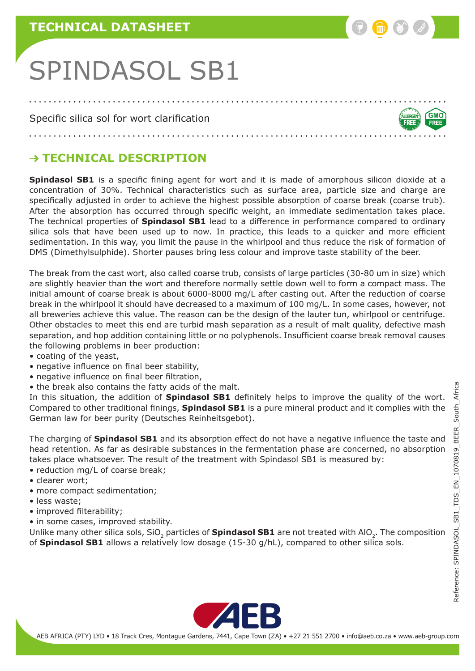# SPINDASOL SB1

Specific silica sol for wort clarification



The oriented and

#### **By TECHNICAL DESCRIPTION**

**Spindasol SB1** is a specific fining agent for wort and it is made of amorphous silicon dioxide at a concentration of 30%. Technical characteristics such as surface area, particle size and charge are specifically adjusted in order to achieve the highest possible absorption of coarse break (coarse trub). After the absorption has occurred through specific weight, an immediate sedimentation takes place. The technical properties of **Spindasol SB1** lead to a difference in performance compared to ordinary silica sols that have been used up to now. In practice, this leads to a quicker and more efficient sedimentation. In this way, you limit the pause in the whirlpool and thus reduce the risk of formation of DMS (Dimethylsulphide). Shorter pauses bring less colour and improve taste stability of the beer.

The break from the cast wort, also called coarse trub, consists of large particles (30-80 um in size) which are slightly heavier than the wort and therefore normally settle down well to form a compact mass. The initial amount of coarse break is about 6000-8000 mg/L after casting out. After the reduction of coarse break in the whirlpool it should have decreased to a maximum of 100 mg/L. In some cases, however, not all breweries achieve this value. The reason can be the design of the lauter tun, whirlpool or centrifuge. Other obstacles to meet this end are turbid mash separation as a result of malt quality, defective mash separation, and hop addition containing little or no polyphenols. Insufficient coarse break removal causes the following problems in beer production:

- coating of the yeast,
- negative influence on final beer stability,
- negative influence on final beer filtration,
- the break also contains the fatty acids of the malt.

In this situation, the addition of **Spindasol SB1** definitely helps to improve the quality of the wort. Compared to other traditional finings, **Spindasol SB1** is a pure mineral product and it complies with the German law for beer purity (Deutsches Reinheitsgebot).

• the break also contains the fatty acids of the malt.<br>
The histiation, the addition of **Spindasol SB1** definitely helps to improve the quality of the wort. Compared to other traditional finings, **Spindasol SB1** is a pure The charging of **Spindasol SB1** and its absorption effect do not have a negative influence the taste and head retention. As far as desirable substances in the fermentation phase are concerned, no absorption takes place whatsoever. The result of the treatment with Spindasol SB1 is measured by:

- reduction mg/L of coarse break;
- clearer wort;
- more compact sedimentation;
- less waste;
- improved filterability;
- in some cases, improved stability.

Unlike many other silica sols, SiO<sub>2</sub> particles of **Spindasol SB1** are not treated with AlO<sub>2</sub>. The composition of **Spindasol SB1** allows a relatively low dosage (15-30 g/hL), compared to other silica sols.